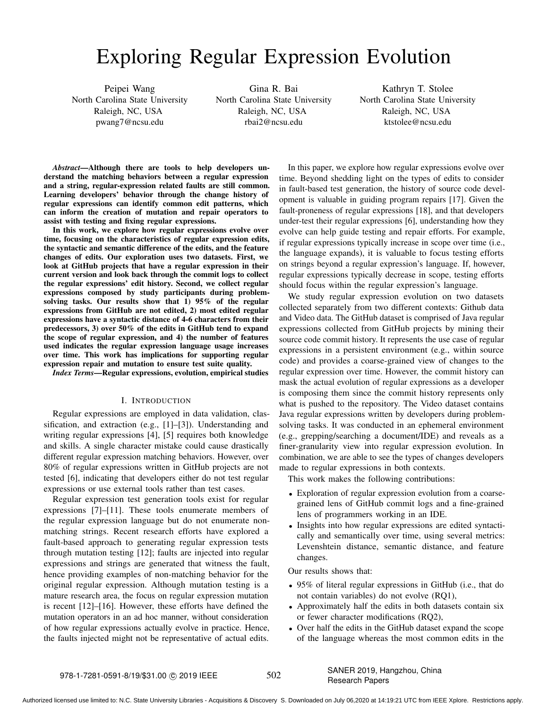# Exploring Regular Expression Evolution

Peipei Wang North Carolina State University Raleigh, NC, USA pwang7@ncsu.edu

Gina R. Bai North Carolina State University Raleigh, NC, USA rbai2@ncsu.edu

Kathryn T. Stolee North Carolina State University Raleigh, NC, USA ktstolee@ncsu.edu

*Abstract*—Although there are tools to help developers understand the matching behaviors between a regular expression and a string, regular-expression related faults are still common. Learning developers' behavior through the change history of regular expressions can identify common edit patterns, which can inform the creation of mutation and repair operators to assist with testing and fixing regular expressions.

In this work, we explore how regular expressions evolve over time, focusing on the characteristics of regular expression edits, the syntactic and semantic difference of the edits, and the feature changes of edits. Our exploration uses two datasets. First, we look at GitHub projects that have a regular expression in their current version and look back through the commit logs to collect the regular expressions' edit history. Second, we collect regular expressions composed by study participants during problemsolving tasks. Our results show that 1) 95% of the regular expressions from GitHub are not edited, 2) most edited regular expressions have a syntactic distance of 4-6 characters from their predecessors, 3) over 50% of the edits in GitHub tend to expand the scope of regular expression, and 4) the number of features used indicates the regular expression language usage increases over time. This work has implications for supporting regular expression repair and mutation to ensure test suite quality.

*Index Terms*—Regular expressions, evolution, empirical studies

# I. INTRODUCTION

Regular expressions are employed in data validation, classification, and extraction (e.g., [1]–[3]). Understanding and writing regular expressions [4], [5] requires both knowledge and skills. A single character mistake could cause drastically different regular expression matching behaviors. However, over 80% of regular expressions written in GitHub projects are not tested [6], indicating that developers either do not test regular expressions or use external tools rather than test cases.

Regular expression test generation tools exist for regular expressions [7]–[11]. These tools enumerate members of the regular expression language but do not enumerate nonmatching strings. Recent research efforts have explored a fault-based approach to generating regular expression tests through mutation testing [12]; faults are injected into regular expressions and strings are generated that witness the fault, hence providing examples of non-matching behavior for the original regular expression. Although mutation testing is a mature research area, the focus on regular expression mutation is recent [12]–[16]. However, these efforts have defined the mutation operators in an ad hoc manner, without consideration of how regular expressions actually evolve in practice. Hence, the faults injected might not be representative of actual edits.

In this paper, we explore how regular expressions evolve over time. Beyond shedding light on the types of edits to consider in fault-based test generation, the history of source code development is valuable in guiding program repairs [17]. Given the fault-proneness of regular expressions [18], and that developers under-test their regular expressions [6], understanding how they evolve can help guide testing and repair efforts. For example, if regular expressions typically increase in scope over time (i.e., the language expands), it is valuable to focus testing efforts on strings beyond a regular expression's language. If, however, regular expressions typically decrease in scope, testing efforts should focus within the regular expression's language.

We study regular expression evolution on two datasets collected separately from two different contexts: Github data and Video data. The GitHub dataset is comprised of Java regular expressions collected from GitHub projects by mining their source code commit history. It represents the use case of regular expressions in a persistent environment (e.g., within source code) and provides a coarse-grained view of changes to the regular expression over time. However, the commit history can mask the actual evolution of regular expressions as a developer is composing them since the commit history represents only what is pushed to the repository. The Video dataset contains Java regular expressions written by developers during problemsolving tasks. It was conducted in an ephemeral environment (e.g., grepping/searching a document/IDE) and reveals as a finer-granularity view into regular expression evolution. In combination, we are able to see the types of changes developers made to regular expressions in both contexts.

This work makes the following contributions:

- Exploration of regular expression evolution from a coarsegrained lens of GitHub commit logs and a fine-grained lens of programmers working in an IDE.
- Insights into how regular expressions are edited syntactically and semantically over time, using several metrics: Levenshtein distance, semantic distance, and feature changes.

Our results shows that:

- 95% of literal regular expressions in GitHub (i.e., that do not contain variables) do not evolve (RQ1),
- Approximately half the edits in both datasets contain six or fewer character modifications (RQ2),
- Over half the edits in the GitHub dataset expand the scope of the language whereas the most common edits in the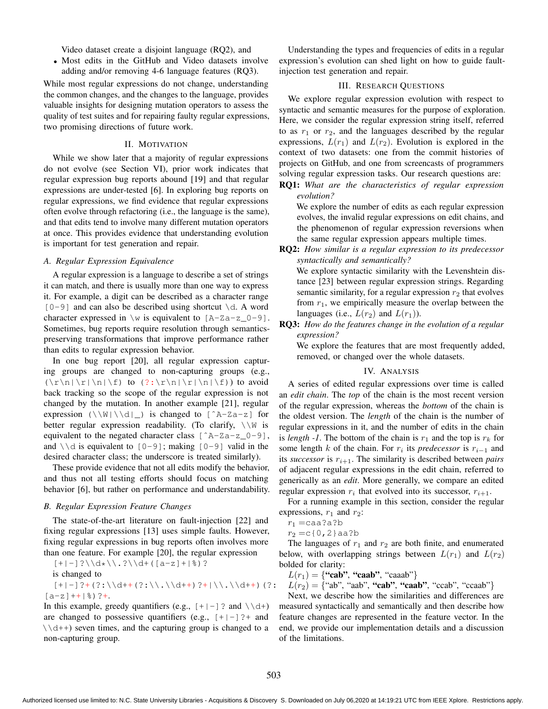Video dataset create a disjoint language (RQ2), and

• Most edits in the GitHub and Video datasets involve adding and/or removing 4-6 language features (RQ3).

While most regular expressions do not change, understanding the common changes, and the changes to the language, provides valuable insights for designing mutation operators to assess the quality of test suites and for repairing faulty regular expressions, two promising directions of future work.

# II. MOTIVATION

While we show later that a majority of regular expressions do not evolve (see Section VI), prior work indicates that regular expression bug reports abound [19] and that regular expressions are under-tested [6]. In exploring bug reports on regular expressions, we find evidence that regular expressions often evolve through refactoring (i.e., the language is the same), and that edits tend to involve many different mutation operators at once. This provides evidence that understanding evolution is important for test generation and repair.

#### *A. Regular Expression Equivalence*

A regular expression is a language to describe a set of strings it can match, and there is usually more than one way to express it. For example, a digit can be described as a character range  $[0-9]$  and can also be described using shortcut  $\dagger$ d. A word character expressed in  $\wedge w$  is equivalent to  $[A-Za-z_0-9]$ . Sometimes, bug reports require resolution through semanticspreserving transformations that improve performance rather than edits to regular expression behavior.

In one bug report [20], all regular expression capturing groups are changed to non-capturing groups (e.g.,  $(\r\ln|\r|\ln|\f)$  to  $(?:\r\ln|\r|\ln|\f)$  to avoid back tracking so the scope of the regular expression is not changed by the mutation. In another example [21], regular expression  $(\N\ldots)$  is changed to  $[^{A-Za-z}]$  for better regular expression readability. (To clarify,  $\setminus \mathbb{W}$  is equivalent to the negated character class  $[^{^{\circ}A-Za-z_0-9}]$ , and  $\setminus \d$  is equivalent to  $[0-9]$ ; making  $[0-9]$  valid in the desired character class; the underscore is treated similarly).

These provide evidence that not all edits modify the behavior, and thus not all testing efforts should focus on matching behavior [6], but rather on performance and understandability.

#### *B. Regular Expression Feature Changes*

The state-of-the-art literature on fault-injection [22] and fixing regular expressions [13] uses simple faults. However, fixing regular expressions in bug reports often involves more than one feature. For example [20], the regular expression

 $[+|-]?\\\d*\\\.\?\\d+([a-z]+|-\$ is changed to  $[+|-]$ ?+(?:\\d++(?:\\.\\d++)?+|\\.\\d++)(?:  $[a-z]++|$  %) ? +.

In this example, greedy quantifiers (e.g.,  $[+|-]$ ? and  $\setminus \dagger$ ) are changed to possessive quantifiers (e.g.,  $[+]$ - $]$ ?+ and  $\setminus$   $\setminus$  d++) seven times, and the capturing group is changed to a non-capturing group.

Understanding the types and frequencies of edits in a regular expression's evolution can shed light on how to guide faultinjection test generation and repair.

# III. RESEARCH QUESTIONS

We explore regular expression evolution with respect to syntactic and semantic measures for the purpose of exploration. Here, we consider the regular expression string itself, referred to as  $r_1$  or  $r_2$ , and the languages described by the regular expressions,  $L(r_1)$  and  $L(r_2)$ . Evolution is explored in the context of two datasets: one from the commit histories of projects on GitHub, and one from screencasts of programmers solving regular expression tasks. Our research questions are:

RQ1: *What are the characteristics of regular expression evolution?*

We explore the number of edits as each regular expression evolves, the invalid regular expressions on edit chains, and the phenomenon of regular expression reversions when the same regular expression appears multiple times.

RQ2: *How similar is a regular expression to its predecessor syntactically and semantically?*

We explore syntactic similarity with the Levenshtein distance [23] between regular expression strings. Regarding semantic similarity, for a regular expression  $r_2$  that evolves from  $r_1$ , we empirically measure the overlap between the languages (i.e.,  $L(r_2)$  and  $L(r_1)$ ).

RQ3: *How do the features change in the evolution of a regular expression?*

We explore the features that are most frequently added, removed, or changed over the whole datasets.

#### IV. ANALYSIS

A series of edited regular expressions over time is called an *edit chain*. The *top* of the chain is the most recent version of the regular expression, whereas the *bottom* of the chain is the oldest version. The *length* of the chain is the number of regular expressions in it, and the number of edits in the chain is *length -1*. The bottom of the chain is  $r_1$  and the top is  $r_k$  for some length  $k$  of the chain. For  $r_i$  its *predecessor* is  $r_{i-1}$  and its *successor* is  $r_{i+1}$ . The similarity is described between *pairs* of adjacent regular expressions in the edit chain, referred to generically as an *edit*. More generally, we compare an edited regular expression  $r_i$  that evolved into its successor,  $r_{i+1}$ .

For a running example in this section, consider the regular expressions,  $r_1$  and  $r_2$ :

$$
r_1 = \mathtt{caa?a?b}
$$

 $r_2 = c(0,2)$  aa?b

The languages of  $r_1$  and  $r_2$  are both finite, and enumerated below, with overlapping strings between  $L(r_1)$  and  $L(r_2)$ bolded for clarity:

 $L(r_1) = \{$ "cab", "caab", "caaab"}

 $L(r_2) = \{$ "ab", "aab", "cab", "caab", "ccab", "ccaab"}

Next, we describe how the similarities and differences are measured syntactically and semantically and then describe how feature changes are represented in the feature vector. In the end, we provide our implementation details and a discussion of the limitations.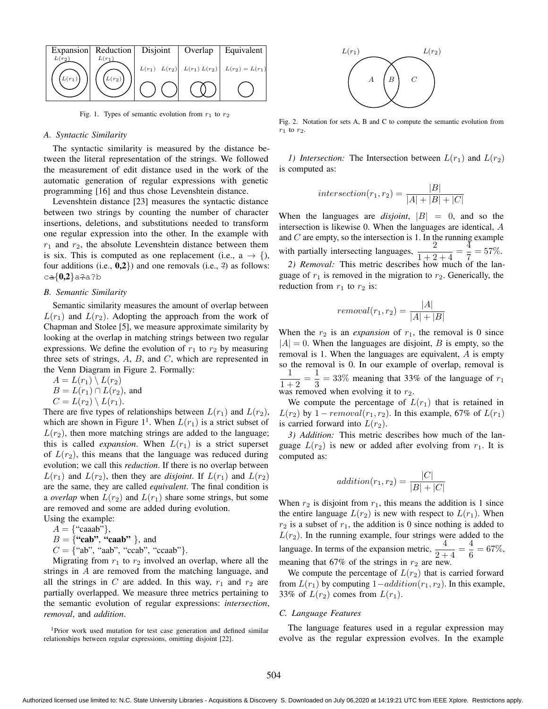

Fig. 1. Types of semantic evolution from  $r_1$  to  $r_2$ 

#### *A. Syntactic Similarity*

The syntactic similarity is measured by the distance between the literal representation of the strings. We followed the measurement of edit distance used in the work of the automatic generation of regular expressions with genetic programming [16] and thus chose Levenshtein distance.

Levenshtein distance [23] measures the syntactic distance between two strings by counting the number of character insertions, deletions, and substitutions needed to transform one regular expression into the other. In the example with  $r_1$  and  $r_2$ , the absolute Levenshtein distance between them is six. This is computed as one replacement (i.e.,  $a \rightarrow \{$ ), four additions (i.e.,  $0,2$ ) and one removals (i.e.,  $2$ ) as follows:  $ca{0,2}a?a?b$ 

### *B. Semantic Similarity*

Semantic similarity measures the amount of overlap between  $L(r_1)$  and  $L(r_2)$ . Adopting the approach from the work of Chapman and Stolee [5], we measure approximate similarity by looking at the overlap in matching strings between two regular expressions. We define the evolution of  $r_1$  to  $r_2$  by measuring three sets of strings,  $A$ ,  $B$ , and  $C$ , which are represented in the Venn Diagram in Figure 2. Formally:

 $A = L(r_1) \setminus L(r_2)$  $B = L(r_1) \cap L(r_2)$ , and

$$
D = E(T) + E(T^2), a
$$

 $C = L(r_2) \setminus L(r_1).$ 

There are five types of relationships between  $L(r_1)$  and  $L(r_2)$ , which are shown in Figure  $1^1$ . When  $L(r_1)$  is a strict subset of  $L(r_2)$ , then more matching strings are added to the language; this is called *expansion*. When  $L(r_1)$  is a strict superset of  $L(r_2)$ , this means that the language was reduced during evolution; we call this *reduction*. If there is no overlap between  $L(r_1)$  and  $L(r_2)$ , then they are *disjoint*. If  $L(r_1)$  and  $L(r_2)$ are the same, they are called *equivalent*. The final condition is a *overlap* when  $L(r_2)$  and  $L(r_1)$  share some strings, but some are removed and some are added during evolution.

Using the example:  $A = \{``caaab"\}$ 

$$
A = \{ \text{ Caad } f, \\ D = \{U_{n-1}, V_{n-1}, \ldots, V_n\}
$$

 $B = \{``cab", ``caab" \}$ , and  $C = \{$ "ab", "aab", "ccab", "ccaab"}.

Migrating from  $r_1$  to  $r_2$  involved an overlap, where all the strings in A are removed from the matching language, and all the strings in C are added. In this way,  $r_1$  and  $r_2$  are partially overlapped. We measure three metrics pertaining to the semantic evolution of regular expressions: *intersection*, *removal*, and *addition*.

<sup>1</sup>Prior work used mutation for test case generation and defined similar relationships between regular expressions, omitting disjoint [22].



Fig. 2. Notation for sets A, B and C to compute the semantic evolution from  $r_1$  to  $r_2$ .

*1) Intersection:* The Intersection between  $L(r_1)$  and  $L(r_2)$ is computed as:

$$
intersection(r_1, r_2) = \frac{|B|}{|A| + |B| + |C|}
$$

When the languages are *disjoint*,  $|B| = 0$ , and so the intersection is likewise 0. When the languages are identical, A and  $C$  are empty, so the intersection is 1. In the running example with partially intersecting languages,  $\frac{2}{1+2+4} = \frac{4}{7}$  $\frac{1}{7} = 57\%.$ 

*2) Removal:* This metric describes how much of the language of  $r_1$  is removed in the migration to  $r_2$ . Generically, the reduction from  $r_1$  to  $r_2$  is:

$$
removal(r_1, r_2) = \frac{|A|}{|A| + |B|}
$$

When the  $r_2$  is an *expansion* of  $r_1$ , the removal is 0 since  $|A| = 0$ . When the languages are disjoint, B is empty, so the removal is 1. When the languages are equivalent, A is empty so the removal is 0. In our example of overlap, removal is 1  $\frac{1}{1+2} = \frac{1}{3}$  $\frac{1}{3}$  = 33% meaning that 33% of the language of  $r_1$ was removed when evolving it to  $r_2$ .

We compute the percentage of  $L(r_1)$  that is retained in  $L(r_2)$  by  $1 - removal(r_1, r_2)$ . In this example, 67% of  $L(r_1)$ is carried forward into  $L(r_2)$ .

*3) Addition:* This metric describes how much of the language  $L(r_2)$  is new or added after evolving from  $r_1$ . It is computed as:

$$
addition(r_1, r_2) = \frac{|C|}{|B| + |C|}
$$

When  $r_2$  is disjoint from  $r_1$ , this means the addition is 1 since the entire language  $L(r_2)$  is new with respect to  $L(r_1)$ . When  $r_2$  is a subset of  $r_1$ , the addition is 0 since nothing is added to  $L(r_2)$ . In the running example, four strings were added to the language. In terms of the expansion metric,  $\frac{4}{2+4} = \frac{4}{6}$  $\frac{1}{6} = 67\%,$ meaning that 67% of the strings in  $r_2$  are new.

We compute the percentage of  $L(r_2)$  that is carried forward from  $L(r_1)$  by computing  $1-addition(r_1, r_2)$ . In this example, 33% of  $L(r_2)$  comes from  $L(r_1)$ .

#### *C. Language Features*

The language features used in a regular expression may evolve as the regular expression evolves. In the example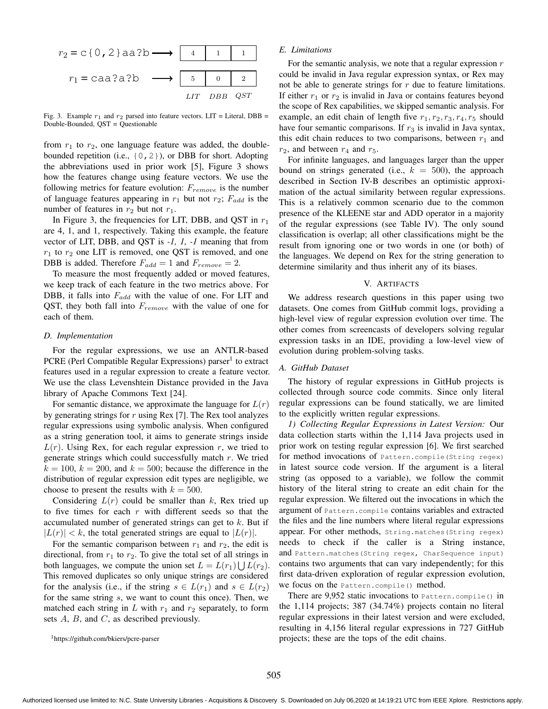

Fig. 3. Example  $r_1$  and  $r_2$  parsed into feature vectors. LIT = Literal, DBB = Double-Bounded, QST = Questionable

from  $r_1$  to  $r_2$ , one language feature was added, the doublebounded repetition (i.e.,  $\{0, 2\}$ ), or DBB for short. Adopting the abbreviations used in prior work [5], Figure 3 shows how the features change using feature vectors. We use the following metrics for feature evolution:  $F_{remove}$  is the number of language features appearing in  $r_1$  but not  $r_2$ ;  $F_{add}$  is the number of features in  $r_2$  but not  $r_1$ .

In Figure 3, the frequencies for LIT, DBB, and QST in  $r_1$ are 4, 1, and 1, respectively. Taking this example, the feature vector of LIT, DBB, and QST is *-1, 1, -1* meaning that from  $r_1$  to  $r_2$  one LIT is removed, one QST is removed, and one DBB is added. Therefore  $F_{add} = 1$  and  $F_{remove} = 2$ .

To measure the most frequently added or moved features, we keep track of each feature in the two metrics above. For DBB, it falls into  $F_{add}$  with the value of one. For LIT and QST, they both fall into  $F_{remove}$  with the value of one for each of them.

### *D. Implementation*

For the regular expressions, we use an ANTLR-based PCRE (Perl Compatible Regular Expressions) parser<sup>1</sup> to extract features used in a regular expression to create a feature vector. We use the class Levenshtein Distance provided in the Java library of Apache Commons Text [24].

For semantic distance, we approximate the language for  $L(r)$ by generating strings for r using Rex [7]. The Rex tool analyzes regular expressions using symbolic analysis. When configured as a string generation tool, it aims to generate strings inside  $L(r)$ . Using Rex, for each regular expression r, we tried to generate strings which could successfully match  $r$ . We tried  $k = 100$ ,  $k = 200$ , and  $k = 500$ ; because the difference in the distribution of regular expression edit types are negligible, we choose to present the results with  $k = 500$ .

Considering  $L(r)$  could be smaller than k, Rex tried up to five times for each  $r$  with different seeds so that the accumulated number of generated strings can get to  $k$ . But if  $|L(r)| < k$ , the total generated strings are equal to  $|L(r)|$ .

For the semantic comparison between  $r_1$  and  $r_2$ , the edit is directional, from  $r_1$  to  $r_2$ . To give the total set of all strings in both languages, we compute the union set  $L = L(r_1) \bigcup L(r_2)$ . This removed duplicates so only unique strings are considered for the analysis (i.e., if the string  $s \in L(r_1)$  and  $s \in L(r_2)$ ) for the same string s, we want to count this once). Then, we matched each string in  $L$  with  $r_1$  and  $r_2$  separately, to form sets A, B, and C, as described previously.

#### <sup>1</sup>https://github.com/bkiers/pcre-parser

# *E. Limitations*

For the semantic analysis, we note that a regular expression  $r$ could be invalid in Java regular expression syntax, or Rex may not be able to generate strings for r due to feature limitations. If either  $r_1$  or  $r_2$  is invalid in Java or contains features beyond the scope of Rex capabilities, we skipped semantic analysis. For example, an edit chain of length five  $r_1, r_2, r_3, r_4, r_5$  should have four semantic comparisons. If  $r_3$  is invalid in Java syntax, this edit chain reduces to two comparisons, between  $r_1$  and  $r_2$ , and between  $r_4$  and  $r_5$ .

For infinite languages, and languages larger than the upper bound on strings generated (i.e.,  $k = 500$ ), the approach described in Section IV-B describes an optimistic approximation of the actual similarity between regular expressions. This is a relatively common scenario due to the common presence of the KLEENE star and ADD operator in a majority of the regular expressions (see Table IV). The only sound classification is overlap; all other classifications might be the result from ignoring one or two words in one (or both) of the languages. We depend on Rex for the string generation to determine similarity and thus inherit any of its biases.

#### V. ARTIFACTS

We address research questions in this paper using two datasets. One comes from GitHub commit logs, providing a high-level view of regular expression evolution over time. The other comes from screencasts of developers solving regular expression tasks in an IDE, providing a low-level view of evolution during problem-solving tasks.

# *A. GitHub Dataset*

The history of regular expressions in GitHub projects is collected through source code commits. Since only literal regular expressions can be found statically, we are limited to the explicitly written regular expressions.

*1) Collecting Regular Expressions in Latest Version:* Our data collection starts within the 1,114 Java projects used in prior work on testing regular expression [6]. We first searched for method invocations of Pattern.compile(String regex) in latest source code version. If the argument is a literal string (as opposed to a variable), we follow the commit history of the literal string to create an edit chain for the regular expression. We filtered out the invocations in which the argument of Pattern.compile contains variables and extracted the files and the line numbers where literal regular expressions appear. For other methods, String.matches(String regex) needs to check if the caller is a String instance, and Pattern.matches(String regex, CharSequence input) contains two arguments that can vary independently; for this first data-driven exploration of regular expression evolution, we focus on the Pattern.compile() method.

There are 9,952 static invocations to Pattern.compile() in the 1,114 projects; 387 (34.74%) projects contain no literal regular expressions in their latest version and were excluded, resulting in 4,156 literal regular expressions in 727 GitHub projects; these are the tops of the edit chains.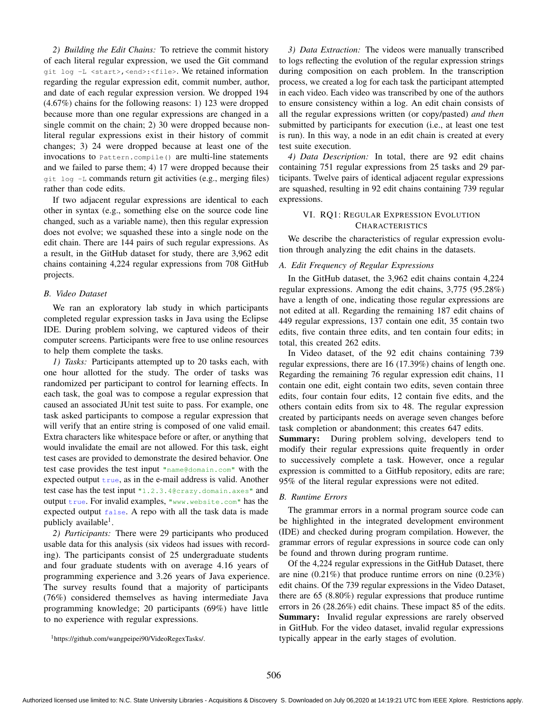*2) Building the Edit Chains:* To retrieve the commit history of each literal regular expression, we used the Git command git log -L <start>,<end>:<file>. We retained information regarding the regular expression edit, commit number, author, and date of each regular expression version. We dropped 194 (4.67%) chains for the following reasons: 1) 123 were dropped because more than one regular expressions are changed in a single commit on the chain; 2) 30 were dropped because nonliteral regular expressions exist in their history of commit changes; 3) 24 were dropped because at least one of the invocations to Pattern.compile() are multi-line statements and we failed to parse them; 4) 17 were dropped because their git log -L commands return git activities (e.g., merging files) rather than code edits.

If two adjacent regular expressions are identical to each other in syntax (e.g., something else on the source code line changed, such as a variable name), then this regular expression does not evolve; we squashed these into a single node on the edit chain. There are 144 pairs of such regular expressions. As a result, in the GitHub dataset for study, there are 3,962 edit chains containing 4,224 regular expressions from 708 GitHub projects.

# *B. Video Dataset*

We ran an exploratory lab study in which participants completed regular expression tasks in Java using the Eclipse IDE. During problem solving, we captured videos of their computer screens. Participants were free to use online resources to help them complete the tasks.

*1) Tasks:* Participants attempted up to 20 tasks each, with one hour allotted for the study. The order of tasks was randomized per participant to control for learning effects. In each task, the goal was to compose a regular expression that caused an associated JUnit test suite to pass. For example, one task asked participants to compose a regular expression that will verify that an entire string is composed of one valid email. Extra characters like whitespace before or after, or anything that would invalidate the email are not allowed. For this task, eight test cases are provided to demonstrate the desired behavior. One test case provides the test input "name@domain.com" with the expected output  $true$ , as in the e-mail address is valid. Another test case has the test input "1.2.3.4@crazy.domain.axes" and output true. For invalid examples, "www.website.com" has the expected output false. A repo with all the task data is made publicly available<sup>1</sup>.

*2) Participants:* There were 29 participants who produced usable data for this analysis (six videos had issues with recording). The participants consist of 25 undergraduate students and four graduate students with on average 4.16 years of programming experience and 3.26 years of Java experience. The survey results found that a majority of participants (76%) considered themselves as having intermediate Java programming knowledge; 20 participants (69%) have little to no experience with regular expressions.

<sup>1</sup>https://github.com/wangpeipei90/VideoRegexTasks/.

*3) Data Extraction:* The videos were manually transcribed to logs reflecting the evolution of the regular expression strings during composition on each problem. In the transcription process, we created a log for each task the participant attempted in each video. Each video was transcribed by one of the authors to ensure consistency within a log. An edit chain consists of all the regular expressions written (or copy/pasted) *and then* submitted by participants for execution (i.e., at least one test is run). In this way, a node in an edit chain is created at every test suite execution.

*4) Data Description:* In total, there are 92 edit chains containing 751 regular expressions from 25 tasks and 29 participants. Twelve pairs of identical adjacent regular expressions are squashed, resulting in 92 edit chains containing 739 regular expressions.

# VI. RQ1: REGULAR EXPRESSION EVOLUTION **CHARACTERISTICS**

We describe the characteristics of regular expression evolution through analyzing the edit chains in the datasets.

# *A. Edit Frequency of Regular Expressions*

In the GitHub dataset, the 3,962 edit chains contain 4,224 regular expressions. Among the edit chains, 3,775 (95.28%) have a length of one, indicating those regular expressions are not edited at all. Regarding the remaining 187 edit chains of 449 regular expressions, 137 contain one edit, 35 contain two edits, five contain three edits, and ten contain four edits; in total, this created 262 edits.

In Video dataset, of the 92 edit chains containing 739 regular expressions, there are 16 (17.39%) chains of length one. Regarding the remaining 76 regular expression edit chains, 11 contain one edit, eight contain two edits, seven contain three edits, four contain four edits, 12 contain five edits, and the others contain edits from six to 48. The regular expression created by participants needs on average seven changes before task completion or abandonment; this creates 647 edits.

Summary: During problem solving, developers tend to modify their regular expressions quite frequently in order to successively complete a task. However, once a regular expression is committed to a GitHub repository, edits are rare; 95% of the literal regular expressions were not edited.

### *B. Runtime Errors*

The grammar errors in a normal program source code can be highlighted in the integrated development environment (IDE) and checked during program compilation. However, the grammar errors of regular expressions in source code can only be found and thrown during program runtime.

Of the 4,224 regular expressions in the GitHub Dataset, there are nine  $(0.21\%)$  that produce runtime errors on nine  $(0.23\%)$ edit chains. Of the 739 regular expressions in the Video Dataset, there are 65 (8.80%) regular expressions that produce runtime errors in 26 (28.26%) edit chains. These impact 85 of the edits. Summary: Invalid regular expressions are rarely observed in GitHub. For the video dataset, invalid regular expressions typically appear in the early stages of evolution.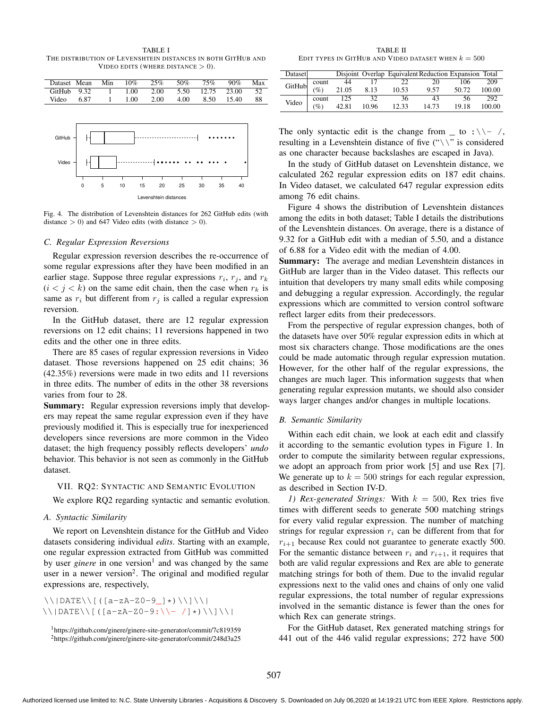TABLE I THE DISTRIBUTION OF LEVENSHTEIN DISTANCES IN BOTH GITHUB AND VIDEO EDITS (WHERE DISTANCE  $> 0$ ).

|       | Dataset Mean     | Min | 10%  | 25%  | 50%  | 75%         | 90%   | Max |
|-------|------------------|-----|------|------|------|-------------|-------|-----|
|       | $G$ itHub $9.32$ |     | 1.00 | 2.00 | 5.50 | 12.75 23.00 |       | 52  |
| Video | 6.87             | 1.  | 1.00 | 2.00 | 4.00 | 8.50        | 15.40 | 88  |
|       |                  |     |      |      |      |             |       |     |



Fig. 4. The distribution of Levenshtein distances for 262 GitHub edits (with distance  $> 0$ ) and 647 Video edits (with distance  $> 0$ ).

#### *C. Regular Expression Reversions*

Regular expression reversion describes the re-occurrence of some regular expressions after they have been modified in an earlier stage. Suppose three regular expressions  $r_i$ ,  $r_j$ , and  $r_k$  $(i < j < k)$  on the same edit chain, then the case when  $r_k$  is same as  $r_i$  but different from  $r_j$  is called a regular expression reversion.

In the GitHub dataset, there are 12 regular expression reversions on 12 edit chains; 11 reversions happened in two edits and the other one in three edits.

There are 85 cases of regular expression reversions in Video dataset. Those reversions happened on 25 edit chains; 36 (42.35%) reversions were made in two edits and 11 reversions in three edits. The number of edits in the other 38 reversions varies from four to 28.

Summary: Regular expression reversions imply that developers may repeat the same regular expression even if they have previously modified it. This is especially true for inexperienced developers since reversions are more common in the Video dataset; the high frequency possibly reflects developers' *undo* behavior. This behavior is not seen as commonly in the GitHub dataset.

#### VII. RQ2: SYNTACTIC AND SEMANTIC EVOLUTION

We explore RQ2 regarding syntactic and semantic evolution.

# *A. Syntactic Similarity*

We report on Levenshtein distance for the GitHub and Video datasets considering individual *edits*. Starting with an example, one regular expression extracted from GitHub was committed by user *ginere* in one version<sup>1</sup> and was changed by the same user in a newer version<sup>2</sup>. The original and modified regular expressions are, respectively,

 $\|\wedge\|$ DATE $\|\|$  ([a-zA-Z0-9\_]\*) $\|\wedge\|$  $\setminus$ |DATE $\setminus$ [([a-zA-Z0-9:\\- /]\*)\\]\\|

TABLE II EDIT TYPES IN GITHUB AND VIDEO DATASET WHEN  $k = 500$ 

| Dataset |                 |       |                       | Disjoint Overlap Equivalent Reduction Expansion Total |        |       |        |
|---------|-----------------|-------|-----------------------|-------------------------------------------------------|--------|-------|--------|
| GitHub  | count           | 44    |                       | 22                                                    | 20     | 106   | 209    |
|         | $\%$            | 21.05 | 10.53<br>8.13<br>9.57 | 50.72                                                 | 100.00 |       |        |
| Video   | count           | 125   | 32                    | 36                                                    | 43     | 56    | 292    |
|         | $\mathscr{A}_c$ | 42.81 | 10.96                 | 12.33                                                 | 14.73  | 19.18 | 100.00 |

The only syntactic edit is the change from  $\Box$  to :\\- /, resulting in a Levenshtein distance of five  $(\sqrt{\ } \cdot \$  is considered as one character because backslashes are escaped in Java).

In the study of GitHub dataset on Levenshtein distance, we calculated 262 regular expression edits on 187 edit chains. In Video dataset, we calculated 647 regular expression edits among 76 edit chains.

Figure 4 shows the distribution of Levenshtein distances among the edits in both dataset; Table I details the distributions of the Levenshtein distances. On average, there is a distance of 9.32 for a GitHub edit with a median of 5.50, and a distance of 6.88 for a Video edit with the median of 4.00.

Summary: The average and median Levenshtein distances in GitHub are larger than in the Video dataset. This reflects our intuition that developers try many small edits while composing and debugging a regular expression. Accordingly, the regular expressions which are committed to version control software reflect larger edits from their predecessors.

From the perspective of regular expression changes, both of the datasets have over 50% regular expression edits in which at most six characters change. Those modifications are the ones could be made automatic through regular expression mutation. However, for the other half of the regular expressions, the changes are much lager. This information suggests that when generating regular expression mutants, we should also consider ways larger changes and/or changes in multiple locations.

#### *B. Semantic Similarity*

Within each edit chain, we look at each edit and classify it according to the semantic evolution types in Figure 1. In order to compute the similarity between regular expressions, we adopt an approach from prior work [5] and use Rex [7]. We generate up to  $k = 500$  strings for each regular expression, as described in Section IV-D.

*1) Rex-generated Strings:* With  $k = 500$ , Rex tries five times with different seeds to generate 500 matching strings for every valid regular expression. The number of matching strings for regular expression  $r_i$  can be different from that for  $r_{i+1}$  because Rex could not guarantee to generate exactly 500. For the semantic distance between  $r_i$  and  $r_{i+1}$ , it requires that both are valid regular expressions and Rex are able to generate matching strings for both of them. Due to the invalid regular expressions next to the valid ones and chains of only one valid regular expressions, the total number of regular expressions involved in the semantic distance is fewer than the ones for which Rex can generate strings.

For the GitHub dataset, Rex generated matching strings for 441 out of the 446 valid regular expressions; 272 have 500

<sup>1</sup>https://github.com/ginere/ginere-site-generator/commit/7c819359 <sup>2</sup>https://github.com/ginere/ginere-site-generator/commit/248d3a25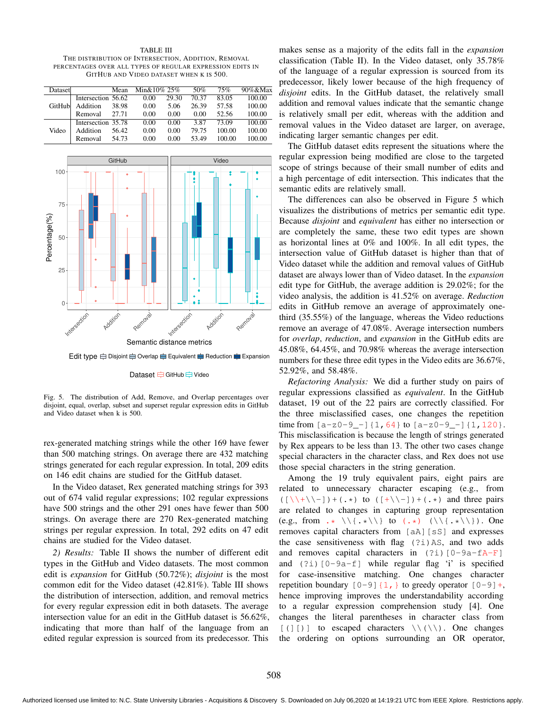TABLE III THE DISTRIBUTION OF INTERSECTION, ADDITION, REMOVAL PERCENTAGES OVER ALL TYPES OF REGULAR EXPRESSION EDITS IN GITHUB AND VIDEO DATASET WHEN K IS 500.

| Dataset |                    | Mean  | Min&10% 25% |       | 50%   | 75%    | $90\%$ &Max |
|---------|--------------------|-------|-------------|-------|-------|--------|-------------|
| GitHub  | Intersection 56.62 |       | 0.00        | 29.30 | 70.37 | 83.05  | 100.00      |
|         | Addition           | 38.98 | 0.00        | 5.06  | 26.39 | 57.58  | 100.00      |
|         | Removal            | 27.71 | 0.00        | 0.00  | 0.00  | 52.56  | 100.00      |
|         | Intersection 35.78 |       | 0.00        | 0.00  | 3.87  | 73.09  | 100.00      |
| Video   | Addition           | 56.42 | 0.00        | 0.00  | 79.75 | 100.00 | 100.00      |
|         | Removal            | 54.73 | 0.00        | 0.00  | 53.49 | 100.00 | 100.00      |



Edit type  $\Rightarrow$  Disjoint  $\Rightarrow$  Overlap  $\Rightarrow$  Equivalent  $\Rightarrow$  Reduction  $\Rightarrow$  Expansion

Dataset **GitHub** Dideo

Fig. 5. The distribution of Add, Remove, and Overlap percentages over disjoint, equal, overlap, subset and superset regular expression edits in GitHub and Video dataset when k is 500.

rex-generated matching strings while the other 169 have fewer than 500 matching strings. On average there are 432 matching strings generated for each regular expression. In total, 209 edits on 146 edit chains are studied for the GitHub dataset.

In the Video dataset, Rex generated matching strings for 393 out of 674 valid regular expressions; 102 regular expressions have 500 strings and the other 291 ones have fewer than 500 strings. On average there are 270 Rex-generated matching strings per regular expression. In total, 292 edits on 47 edit chains are studied for the Video dataset.

*2) Results:* Table II shows the number of different edit types in the GitHub and Video datasets. The most common edit is *expansion* for GitHub (50.72%); *disjoint* is the most common edit for the Video dataset (42.81%). Table III shows the distribution of intersection, addition, and removal metrics for every regular expression edit in both datasets. The average intersection value for an edit in the GitHub dataset is 56.62%, indicating that more than half of the language from an edited regular expression is sourced from its predecessor. This

makes sense as a majority of the edits fall in the *expansion* classification (Table II). In the Video dataset, only 35.78% of the language of a regular expression is sourced from its predecessor, likely lower because of the high frequency of *disjoint* edits. In the GitHub dataset, the relatively small addition and removal values indicate that the semantic change is relatively small per edit, whereas with the addition and removal values in the Video dataset are larger, on average, indicating larger semantic changes per edit.

The GitHub dataset edits represent the situations where the regular expression being modified are close to the targeted scope of strings because of their small number of edits and a high percentage of edit intersection. This indicates that the semantic edits are relatively small.

The differences can also be observed in Figure 5 which visualizes the distributions of metrics per semantic edit type. Because *disjoint* and *equivalent* has either no intersection or are completely the same, these two edit types are shown as horizontal lines at 0% and 100%. In all edit types, the intersection value of GitHub dataset is higher than that of Video dataset while the addition and removal values of GitHub dataset are always lower than of Video dataset. In the *expansion* edit type for GitHub, the average addition is 29.02%; for the video analysis, the addition is 41.52% on average. *Reduction* edits in GitHub remove an average of approximately onethird (35.55%) of the language, whereas the Video reductions remove an average of 47.08%. Average intersection numbers for *overlap*, *reduction*, and *expansion* in the GitHub edits are 45.08%, 64.45%, and 70.98% whereas the average intersection numbers for these three edit types in the Video edits are 36.67%, 52.92%, and 58.48%.

*Refactoring Analysis:* We did a further study on pairs of regular expressions classified as *equivalent*. In the GitHub dataset, 19 out of the 22 pairs are correctly classified. For the three misclassified cases, one changes the repetition time from  $[a-z0-9-]$  {1,64} to  $[a-z0-9-]$  {1,120}. This misclassification is because the length of strings generated by Rex appears to be less than 13. The other two cases change special characters in the character class, and Rex does not use those special characters in the string generation.

Among the 19 truly equivalent pairs, eight pairs are related to unnecessary character escaping (e.g., from  $((\setminus\setminus+\setminus\setminus-]) + (\cdot*)$  to  $(\setminus\setminus+\setminus\setminus-]) + (\cdot*)$  and three pairs are related to changes in capturing group representation (e.g., from  $\star \setminus \{\cdot \star \setminus \}$  to  $(\cdot \star) \setminus \setminus \cdot \star \setminus \}$ ). One removes capital characters from [aA][sS] and expresses the case sensitiveness with flag  $(2i)$  AS, and two adds and removes capital characters in  $(2i)[0-9a-fA-F]$ and  $(2i)$  [0-9a-f] while regular flag 'i' is specified for case-insensitive matching. One changes character repetition boundary  $[0-9]$   $\{1, \}$  to greedy operator  $[0-9] +$ , hence improving improves the understandability according to a regular expression comprehension study [4]. One changes the literal parentheses in character class from  $[ ( ] [ ) ]$  to escaped characters  $\(\(\set)$ . One changes the ordering on options surrounding an OR operator,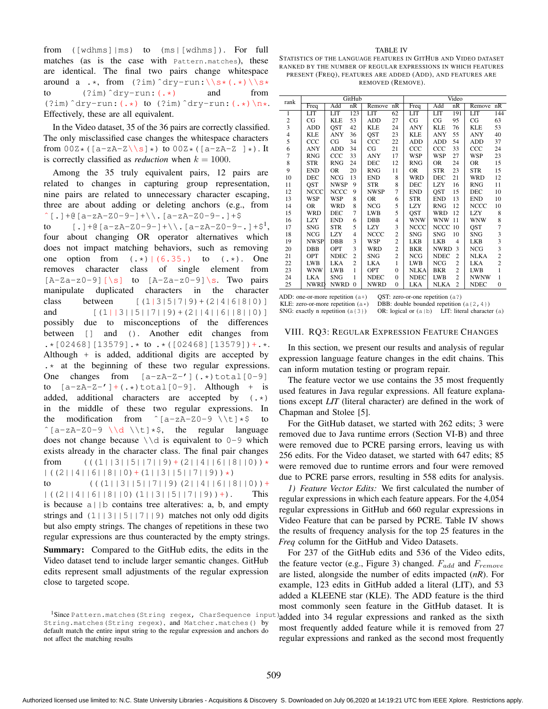from ([wdhms]|ms) to (ms|[wdhms]). For full matches (as is the case with Pattern.matches), these are identical. The final two pairs change whitespace around a .\*, from  $(2 \text{ im})$ <sup>2</sup> dry-run:  $\sqrt{s}$  (.\*)  $\sqrt{s}$  to (2im)<sup>2</sup> dry-run: (.\*) and from to  $(?im)$ <sup> $\deg$ -run:  $(.*)$  and</sup> (?im)^dry-run:(.\*) to (?im)^dry-run:(.\*)\n\*. Effectively, these are all equivalent.

In the Video dataset, 35 of the 36 pairs are correctly classified. The only misclassified case changes the whitespace characters from  $00Z*(\lbrace a-zA-Z\rbrace \ s \rbrace *)$  to  $00Z*(\lbrace a-zA-Z \rbrace *)$ . It is correctly classified as *reduction* when  $k = 1000$ .

Among the 35 truly equivalent pairs, 12 pairs are related to changes in capturing group representation, nine pairs are related to unnecessary character escaping, three are about adding or deleting anchors (e.g., from  $^{\circ}$  [.] + @ [a-zA-Z0-9-] + \\.[a-zA-Z0-9-.] + \$ to  $[.] + \mathcal{C} [a-zA-Z0-9-] + \backslash$ ,  $[a-zA-Z0-9-.]+$ four about changing OR operator alternatives which does not impact matching behaviors, such as removing one option from  $(\cdot \cdot)$   $(6.35.)$  to  $(\cdot \cdot)$ . One removes character class of single element from  $[A-Za-z0-9]$  [\s] to  $[A-Za-z0-9]$  \s. Two pairs manipulate duplicated characters in the character class between  $[(1|3|5|7|9)+(2|4|6|8|0)]$ and  $[(1||3||5||7||9)+(2||4||6||8||0)]$ possibly due to misconceptions of the differences between [] and (). Another edit changes from .\*[02468][13579].\* to .\*([02468][13579])+.\*. Although + is added, additional digits are accepted by  $\cdot$  at the beginning of these two regular expressions. One changes from  $[a-zA-z-'](\cdot \cdot \cdot)$ total $[0-9]$ to  $[a-zA-Z-']+(.*)\text{total}[0-9]$ . Although + is added, additional characters are accepted by (.\*) in the middle of these two regular expressions. In the modification from  $\hat{c}$ [a-zA-Z0-9 \\t]  $\star$ \$ to  $\hat{}$ [a-zA-Z0-9 \\d \\t]  $\star$ \$, the regular language does not change because  $\setminus \d$  is equivalent to 0-9 which exists already in the character class. The final pair changes from  $((1||3||5||7||9)+(2||4||6||8||0))$  \*  $|( (2||4||6||8||0)+(1||3||5||7||9))\star)$ 

to  $((1|13||5||7||9)(2||4||6||8||0)) +$  $|(2||4||6||8||0)(1||3||5||7||9)) +$ . This is because  $a \mid b$  contains tree alteratives: a, b, and empty strings and  $(1 \mid |3| \mid 5| \mid 7| \mid 9)$  matches not only odd digits but also empty strings. The changes of repetitions in these two regular expressions are thus counteracted by the empty strings.

Summary: Compared to the GitHub edits, the edits in the Video dataset tend to include larger semantic changes. GitHub edits represent small adjustments of the regular expression close to targeted scope.

#### TABLE IV

STATISTICS OF THE LANGUAGE FEATURES IN GITHUB AND VIDEO DATASET RANKED BY THE NUMBER OF REGULAR EXPRESSIONS IN WHICH FEATURES PRESENT (FREQ), FEATURES ARE ADDED (ADD), AND FEATURES ARE REMOVED (REMOVE).

| rank<br>nR<br>nR<br>Freq<br>Add<br>nR<br>Freq<br>Add<br>Remove<br>Remove<br>LIT<br>123<br>LIT<br>62<br>LIT<br>LIT<br>191<br>LIT<br><b>LIT</b><br>1<br>$\overline{c}$<br>53<br>27<br>95<br>CG<br><b>KLE</b><br><b>ADD</b><br>CG<br>CG<br>CG<br>$\overline{\mathbf{3}}$<br>QST<br>42<br><b>KLE</b><br><b>ADD</b><br><b>KLE</b><br>24<br><b>ANY</b><br>76<br><b>KLE</b><br>$\overline{4}$<br><b>OST</b><br>55<br><b>KLE</b><br><b>ANY</b><br>36<br>23<br><b>KLE</b><br><b>ANY</b><br><b>ANY</b> |                |
|----------------------------------------------------------------------------------------------------------------------------------------------------------------------------------------------------------------------------------------------------------------------------------------------------------------------------------------------------------------------------------------------------------------------------------------------------------------------------------------------|----------------|
|                                                                                                                                                                                                                                                                                                                                                                                                                                                                                              | nR             |
|                                                                                                                                                                                                                                                                                                                                                                                                                                                                                              | 144            |
|                                                                                                                                                                                                                                                                                                                                                                                                                                                                                              | 63             |
|                                                                                                                                                                                                                                                                                                                                                                                                                                                                                              | 53             |
|                                                                                                                                                                                                                                                                                                                                                                                                                                                                                              | 40             |
| 5<br>54<br>CCC<br>CG<br>34<br>CCC<br>22<br><b>ADD</b><br>ADD<br><b>ADD</b>                                                                                                                                                                                                                                                                                                                                                                                                                   | 37             |
| 6<br>CG<br>21<br>CCC<br>33<br>CCC<br><b>ANY</b><br><b>ADD</b><br>34<br>CCC                                                                                                                                                                                                                                                                                                                                                                                                                   | 24             |
| $\overline{7}$<br>CCC<br>33<br>17<br><b>WSP</b><br><b>WSP</b><br>27<br><b>WSP</b><br><b>RNG</b><br><b>ANY</b>                                                                                                                                                                                                                                                                                                                                                                                | 23             |
| 8<br><b>STR</b><br><b>RNG</b><br>24<br><b>DEC</b><br>12<br><b>RNG</b><br><b>OR</b><br>24<br><b>OR</b>                                                                                                                                                                                                                                                                                                                                                                                        | 15             |
| 9<br>11<br>23<br><b>END</b><br><b>OR</b><br>20<br><b>OR</b><br><b>STR</b><br><b>STR</b><br><b>RNG</b>                                                                                                                                                                                                                                                                                                                                                                                        | 15             |
| 10<br><b>NCG</b><br>13<br><b>DEC</b><br><b>END</b><br>8<br><b>WRD</b><br>21<br><b>WRD</b><br>DEC                                                                                                                                                                                                                                                                                                                                                                                             | 12             |
| <b>OST</b><br><b>NWSP</b><br>9<br>8<br><b>LZY</b><br>11<br><b>STR</b><br>DEC<br>16<br><b>RNG</b>                                                                                                                                                                                                                                                                                                                                                                                             | 11             |
| 7<br>12<br><b>NCCC</b><br>9<br>15<br><b>NCCC</b><br><b>NWSP</b><br><b>END</b><br><b>OST</b><br><b>DEC</b>                                                                                                                                                                                                                                                                                                                                                                                    | 10             |
| 13<br><b>WSP</b><br><b>WSP</b><br>8<br><b>OR</b><br><b>STR</b><br><b>END</b><br>13<br><b>END</b><br>6                                                                                                                                                                                                                                                                                                                                                                                        | 10             |
| 5<br>8<br><b>NCG</b><br>14<br><b>OR</b><br><b>WRD</b><br><b>LZY</b><br><b>RNG</b><br>12<br><b>NCCC</b>                                                                                                                                                                                                                                                                                                                                                                                       | 10             |
| $\overline{7}$<br>5<br><b>OST</b><br>12<br><b>LZY</b><br>15<br><b>WRD</b><br>DEC<br><b>LWB</b><br>WRD                                                                                                                                                                                                                                                                                                                                                                                        | 8              |
| 16<br>LZY<br><b>WNW</b><br><b>WNW</b><br><b>WNW</b><br><b>END</b><br>6<br><b>DBB</b><br>11<br>4                                                                                                                                                                                                                                                                                                                                                                                              | 8              |
| 5<br>3<br>17<br><b>SNG</b><br><b>STR</b><br><b>LZY</b><br><b>NCCC</b><br><b>NCCC</b><br>10<br>QST                                                                                                                                                                                                                                                                                                                                                                                            | $\overline{7}$ |
| $\overline{c}$<br>18<br>10<br><b>NCG</b><br><b>LZY</b><br>$\overline{4}$<br><b>SNG</b><br><b>SNG</b><br><b>SNG</b><br>NCCC                                                                                                                                                                                                                                                                                                                                                                   | 3              |
| 3<br>$\overline{c}$<br>19<br>NWSP<br>DBB<br><b>WSP</b><br>LKB<br><b>LKB</b><br><b>LKB</b><br>$\overline{4}$                                                                                                                                                                                                                                                                                                                                                                                  | 3              |
| 3<br>$\overline{c}$<br>20<br><b>DBB</b><br>OPT<br><b>BKR</b><br><b>NWRD</b><br>3<br><b>NCG</b><br><b>WRD</b>                                                                                                                                                                                                                                                                                                                                                                                 | $\overline{3}$ |
| $\overline{c}$<br>$\overline{c}$<br>21<br><b>NDEC</b><br><b>NCG</b><br>OPT<br><b>SNG</b><br><b>NDEC</b><br>$\overline{c}$<br><b>NLKA</b>                                                                                                                                                                                                                                                                                                                                                     | $\overline{c}$ |
| 22<br>$\overline{c}$<br><b>LKA</b><br><b>NCG</b><br>$\overline{c}$<br><b>LWB</b><br><b>LKA</b><br><b>LWB</b><br><b>LKA</b><br>1                                                                                                                                                                                                                                                                                                                                                              | $\overline{c}$ |
| 23<br><b>WNW</b><br>1<br><b>BKR</b><br>$\overline{c}$<br><b>LWB</b><br><b>LWB</b><br>OPT<br><b>NLKA</b><br>$\mathbf{0}$                                                                                                                                                                                                                                                                                                                                                                      | 1              |
| 24<br><b>LKA</b><br><b>SNG</b><br><b>NDEC</b><br><b>NDEC</b><br><b>LWB</b><br>$\overline{c}$<br><b>NWNW</b><br>1<br>$\mathbf{0}$                                                                                                                                                                                                                                                                                                                                                             | 1              |
| 25<br><b>NWRD</b><br>$\Omega$<br><b>LKA</b><br>$\overline{c}$<br><b>NWRD</b><br><b>NWRD</b><br>$\Omega$<br><b>NLKA</b><br><b>NDEC</b>                                                                                                                                                                                                                                                                                                                                                        | $\mathbf{0}$   |

ADD: one-or-more repetition (a+) QST: zero-or-one repetition (a?)<br>KLE: zero-or-more repetition (a $\star$ ) DBB: double bounded repetition

KLE: zero-or-more repetition (a\*) DBB: double bounded repetition (a{2,4})<br>SNG: exactly n repetition (a{3}) OR: logical or (a|b) LIT: literal character OR: logical or  $(a|b)$  LIT: literal character  $(a)$ 

#### VIII. RQ3: REGULAR EXPRESSION FEATURE CHANGES

In this section, we present our results and analysis of regular expression language feature changes in the edit chains. This can inform mutation testing or program repair.

The feature vector we use contains the 35 most frequently used features in Java regular expressions. All feature explanations except *LIT* (literal character) are defined in the work of Chapman and Stolee [5].

For the GitHub dataset, we started with 262 edits; 3 were removed due to Java runtime errors (Section VI-B) and three were removed due to PCRE parsing errors, leaving us with 256 edits. For the Video dataset, we started with 647 edits; 85 were removed due to runtime errors and four were removed due to PCRE parse errors, resulting in 558 edits for analysis.

*1) Feature Vector Edits:* We first calculated the number of regular expressions in which each feature appears. For the 4,054 regular expressions in GitHub and 660 regular expressions in Video Feature that can be parsed by PCRE. Table IV shows the results of frequency analysis for the top 25 features in the *Freq* column for the GitHub and Video Datasets.

For 237 of the GitHub edits and 536 of the Video edits, the feature vector (e.g., Figure 3) changed.  $F_{add}$  and  $F_{remove}$ are listed, alongside the number of edits impacted (*nR*). For example, 123 edits in GitHub added a literal (LIT), and 53 added a KLEENE star (KLE). The ADD feature is the third most commonly seen feature in the GitHub dataset. It is added into 34 regular expressions and ranked as the sixth most frequently added feature while it is removed from 27 regular expressions and ranked as the second most frequently

 $1$ Since Pattern.matches (String regex, CharSequence input String.matches(String regex), and Matcher.matches() by default match the entire input string to the regular expression and anchors do not affect the matching results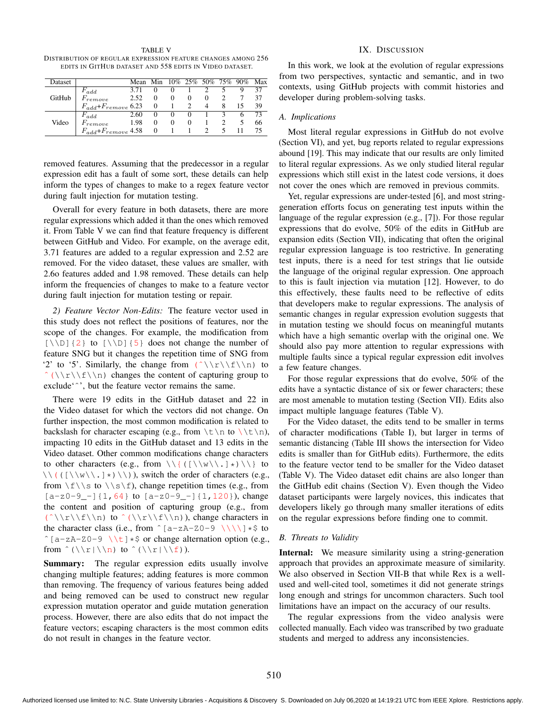| TABLE V                                                      |
|--------------------------------------------------------------|
| DISTRIBUTION OF REGULAR EXPRESSION FEATURE CHANGES AMONG 256 |
| EDITS IN GITHUB DATASET AND 558 EDITS IN VIDEO DATASET.      |

| Dataset |                                   | Mean Min 10% 25% 50% 75% 90% Max |          |          |                |             |   |    |
|---------|-----------------------------------|----------------------------------|----------|----------|----------------|-------------|---|----|
| GitHub  | $F_{add}$                         | 3.71                             |          | 0        |                |             |   | 37 |
|         | $F$ remove                        | 2.52                             | $\Omega$ | $\Omega$ | $\overline{0}$ | $\Omega$    |   | 37 |
|         | $F_{add} + F_{remove}$ 6.23 0 1 2 |                                  |          |          |                | 4           | 8 | 39 |
| Video   | $F_{add}$                         | 2.60                             | $\Omega$ | $\Omega$ | $\overline{0}$ |             |   | 73 |
|         | $F$ remove                        | 1.98                             | $\Omega$ | $\Omega$ |                | $0 \quad 1$ |   | 66 |
|         | $F_{add}$ + $F_{remove}$ 4.58 0   |                                  |          |          |                |             |   | 75 |

removed features. Assuming that the predecessor in a regular expression edit has a fault of some sort, these details can help inform the types of changes to make to a regex feature vector during fault injection for mutation testing.

Overall for every feature in both datasets, there are more regular expressions which added it than the ones which removed it. From Table V we can find that feature frequency is different between GitHub and Video. For example, on the average edit, 3.71 features are added to a regular expression and 2.52 are removed. For the video dataset, these values are smaller, with 2.6o features added and 1.98 removed. These details can help inform the frequencies of changes to make to a feature vector during fault injection for mutation testing or repair.

*2) Feature Vector Non-Edits:* The feature vector used in this study does not reflect the positions of features, nor the scope of the changes. For example, the modification from  $[\{\{\} \}]$  to  $[\{\{\} \}]$  does not change the number of feature SNG but it changes the repetition time of SNG from '2' to '5'. Similarly, the change from  $(\hat{\wedge}\\rangle f)\n$  to  $\hat{\Gamma}(\nabla\cdot\mathbf{f})$  changes the content of capturing group to exclude'ˆ', but the feature vector remains the same.

There were 19 edits in the GitHub dataset and 22 in the Video dataset for which the vectors did not change. On further inspection, the most common modification is related to backslash for character escaping (e.g., from  $\t\$  \nto \t\ impacting 10 edits in the GitHub dataset and 13 edits in the Video dataset. Other common modifications change characters to other characters (e.g., from  $\setminus \{([\setminus\{w\}\setminus\cdot]*)\setminus\}$  to  $\setminus \setminus (([\setminus \{w\}\setminus \cdot]*) \setminus \setminus),$  switch the order of characters (e.g., from  $\f\lambda$  s to  $\lambda \$  f), change repetition times (e.g., from  $[a-z0-9-]$  {1,64} to  $[a-z0-9-]$  {1,120}), change the content and position of capturing group (e.g., from  $(\hat{\wedge} \setminus f \setminus n)$  to  $(\langle \cdot \rangle \setminus f \setminus n)$ , change characters in the character class (i.e., from  $\hat{ }$  [a-zA-Z0-9 \\\\]  $\star$ \$ to ^ [a-zA-Z0-9 \\t]  $*$ \$ or change alternation option (e.g., from  $\hat{\wedge}(\lceil\frac{\ln}{n}\rceil)$  to  $\hat{\wedge}(\lceil\frac{\ln}{n}\rceil)$ .

Summary: The regular expression edits usually involve changing multiple features; adding features is more common than removing. The frequency of various features being added and being removed can be used to construct new regular expression mutation operator and guide mutation generation process. However, there are also edits that do not impact the feature vectors; escaping characters is the most common edits do not result in changes in the feature vector.

# IX. DISCUSSION

In this work, we look at the evolution of regular expressions from two perspectives, syntactic and semantic, and in two contexts, using GitHub projects with commit histories and developer during problem-solving tasks.

# *A. Implications*

Most literal regular expressions in GitHub do not evolve (Section VI), and yet, bug reports related to regular expressions abound [19]. This may indicate that our results are only limited to literal regular expressions. As we only studied literal regular expressions which still exist in the latest code versions, it does not cover the ones which are removed in previous commits.

Yet, regular expressions are under-tested [6], and most stringgeneration efforts focus on generating test inputs within the language of the regular expression (e.g., [7]). For those regular expressions that do evolve, 50% of the edits in GitHub are expansion edits (Section VII), indicating that often the original regular expression language is too restrictive. In generating test inputs, there is a need for test strings that lie outside the language of the original regular expression. One approach to this is fault injection via mutation [12]. However, to do this effectively, these faults need to be reflective of edits that developers make to regular expressions. The analysis of semantic changes in regular expression evolution suggests that in mutation testing we should focus on meaningful mutants which have a high semantic overlap with the original one. We should also pay more attention to regular expressions with multiple faults since a typical regular expression edit involves a few feature changes.

For those regular expressions that do evolve, 50% of the edits have a syntactic distance of six or fewer characters; these are most amenable to mutation testing (Section VII). Edits also impact multiple language features (Table V).

For the Video dataset, the edits tend to be smaller in terms of character modifications (Table I), but larger in terms of semantic distancing (Table III shows the intersection for Video edits is smaller than for GitHub edits). Furthermore, the edits to the feature vector tend to be smaller for the Video dataset (Table V). The Video dataset edit chains are also longer than the GitHub edit chains (Section V). Even though the Video dataset participants were largely novices, this indicates that developers likely go through many smaller iterations of edits on the regular expressions before finding one to commit.

# *B. Threats to Validity*

Internal: We measure similarity using a string-generation approach that provides an approximate measure of similarity. We also observed in Section VII-B that while Rex is a wellused and well-cited tool, sometimes it did not generate strings long enough and strings for uncommon characters. Such tool limitations have an impact on the accuracy of our results.

The regular expressions from the video analysis were collected manually. Each video was transcribed by two graduate students and merged to address any inconsistencies.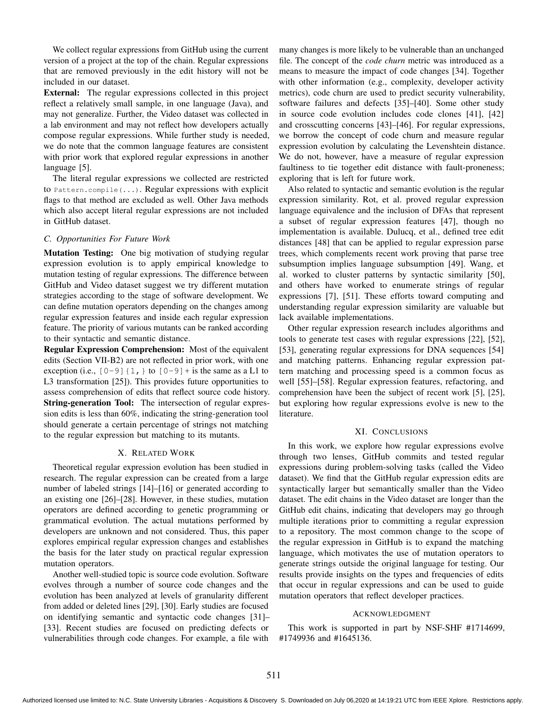We collect regular expressions from GitHub using the current version of a project at the top of the chain. Regular expressions that are removed previously in the edit history will not be included in our dataset.

External: The regular expressions collected in this project reflect a relatively small sample, in one language (Java), and may not generalize. Further, the Video dataset was collected in a lab environment and may not reflect how developers actually compose regular expressions. While further study is needed, we do note that the common language features are consistent with prior work that explored regular expressions in another language [5].

The literal regular expressions we collected are restricted to Pattern.compile(...). Regular expressions with explicit flags to that method are excluded as well. Other Java methods which also accept literal regular expressions are not included in GitHub dataset.

# *C. Opportunities For Future Work*

Mutation Testing: One big motivation of studying regular expression evolution is to apply empirical knowledge to mutation testing of regular expressions. The difference between GitHub and Video dataset suggest we try different mutation strategies according to the stage of software development. We can define mutation operators depending on the changes among regular expression features and inside each regular expression feature. The priority of various mutants can be ranked according to their syntactic and semantic distance.

Regular Expression Comprehension: Most of the equivalent edits (Section VII-B2) are not reflected in prior work, with one exception (i.e.,  $[0-9] \{1, \}$  to  $[0-9] +$  is the same as a L1 to L3 transformation [25]). This provides future opportunities to assess comprehension of edits that reflect source code history. String-generation Tool: The intersection of regular expression edits is less than 60%, indicating the string-generation tool should generate a certain percentage of strings not matching to the regular expression but matching to its mutants.

#### X. RELATED WORK

Theoretical regular expression evolution has been studied in research. The regular expression can be created from a large number of labeled strings [14]–[16] or generated according to an existing one [26]–[28]. However, in these studies, mutation operators are defined according to genetic programming or grammatical evolution. The actual mutations performed by developers are unknown and not considered. Thus, this paper explores empirical regular expression changes and establishes the basis for the later study on practical regular expression mutation operators.

Another well-studied topic is source code evolution. Software evolves through a number of source code changes and the evolution has been analyzed at levels of granularity different from added or deleted lines [29], [30]. Early studies are focused on identifying semantic and syntactic code changes [31]– [33]. Recent studies are focused on predicting defects or vulnerabilities through code changes. For example, a file with

many changes is more likely to be vulnerable than an unchanged file. The concept of the *code churn* metric was introduced as a means to measure the impact of code changes [34]. Together with other information (e.g., complexity, developer activity metrics), code churn are used to predict security vulnerability, software failures and defects [35]–[40]. Some other study in source code evolution includes code clones [41], [42] and crosscutting concerns [43]–[46]. For regular expressions, we borrow the concept of code churn and measure regular expression evolution by calculating the Levenshtein distance. We do not, however, have a measure of regular expression faultiness to tie together edit distance with fault-proneness; exploring that is left for future work.

Also related to syntactic and semantic evolution is the regular expression similarity. Rot, et al. proved regular expression language equivalence and the inclusion of DFAs that represent a subset of regular expression features [47], though no implementation is available. Dulucq, et al., defined tree edit distances [48] that can be applied to regular expression parse trees, which complements recent work proving that parse tree subsumption implies language subsumption [49]. Wang, et al. worked to cluster patterns by syntactic similarity [50], and others have worked to enumerate strings of regular expressions [7], [51]. These efforts toward computing and understanding regular expression similarity are valuable but lack available implementations.

Other regular expression research includes algorithms and tools to generate test cases with regular expressions [22], [52], [53], generating regular expressions for DNA sequences [54] and matching patterns. Enhancing regular expression pattern matching and processing speed is a common focus as well [55]–[58]. Regular expression features, refactoring, and comprehension have been the subject of recent work [5], [25], but exploring how regular expressions evolve is new to the literature.

### XI. CONCLUSIONS

In this work, we explore how regular expressions evolve through two lenses, GitHub commits and tested regular expressions during problem-solving tasks (called the Video dataset). We find that the GitHub regular expression edits are syntactically larger but semantically smaller than the Video dataset. The edit chains in the Video dataset are longer than the GitHub edit chains, indicating that developers may go through multiple iterations prior to committing a regular expression to a repository. The most common change to the scope of the regular expression in GitHub is to expand the matching language, which motivates the use of mutation operators to generate strings outside the original language for testing. Our results provide insights on the types and frequencies of edits that occur in regular expressions and can be used to guide mutation operators that reflect developer practices.

#### ACKNOWLEDGMENT

This work is supported in part by NSF-SHF #1714699, #1749936 and #1645136.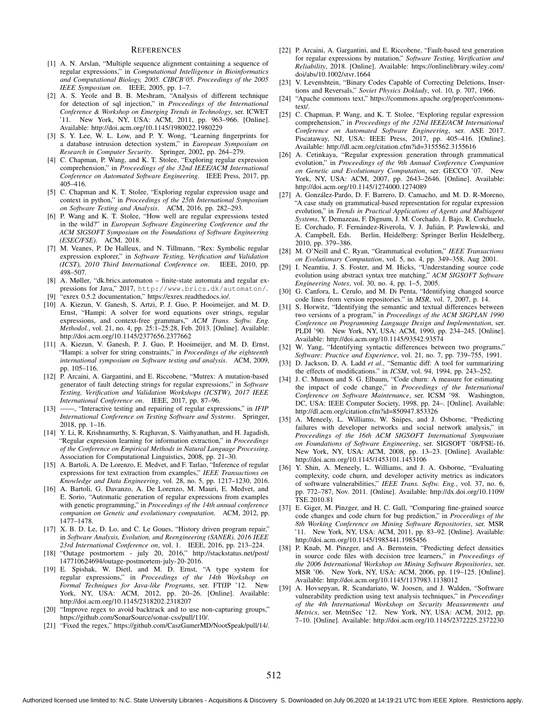#### **REFERENCES**

- [1] A. N. Arslan, "Multiple sequence alignment containing a sequence of regular expressions," in *Computational Intelligence in Bioinformatics and Computational Biology, 2005. CIBCB'05. Proceedings of the 2005 IEEE Symposium on*. IEEE, 2005, pp. 1–7.
- [2] A. S. Yeole and B. B. Meshram, "Analysis of different technique for detection of sql injection," in *Proceedings of the International Conference & Workshop on Emerging Trends in Technology*, ser. ICWET '11. New York, NY, USA: ACM, 2011, pp. 963–966. [Online]. Available: http://doi.acm.org/10.1145/1980022.1980229
- [3] S. Y. Lee, W. L. Low, and P. Y. Wong, "Learning fingerprints for a database intrusion detection system," in *European Symposium on Research in Computer Security*. Springer, 2002, pp. 264–279.
- [4] C. Chapman, P. Wang, and K. T. Stolee, "Exploring regular expression comprehension," in *Proceedings of the 32nd IEEE/ACM International Conference on Automated Software Engineering*. IEEE Press, 2017, pp. 405–416.
- [5] C. Chapman and K. T. Stolee, "Exploring regular expression usage and context in python," in *Proceedings of the 25th International Symposium on Software Testing and Analysis*. ACM, 2016, pp. 282–293.
- [6] P. Wang and K. T. Stolee, "How well are regular expressions tested in the wild?" in *European Software Engineering Conference and the ACM SIGSOFT Symposium on the Foundations of Software Engineering (ESEC/FSE)*. ACM, 2018.
- [7] M. Veanes, P. De Halleux, and N. Tillmann, "Rex: Symbolic regular expression explorer," in *Software Testing, Verification and Validation (ICST), 2010 Third International Conference on*. IEEE, 2010, pp. 498–507.
- [8] A. Møller, "dk.brics.automaton finite-state automata and regular expressions for Java," 2017, http://www.brics.dk/automaton/.
- [9] "exrex 0.5.2 documentation," https://exrex.readthedocs.io/.
- [10] A. Kiezun, V. Ganesh, S. Artzi, P. J. Guo, P. Hooimeijer, and M. D. Ernst, "Hampi: A solver for word equations over strings, regular expressions, and context-free grammars," *ACM Trans. Softw. Eng. Methodol.*, vol. 21, no. 4, pp. 25:1–25:28, Feb. 2013. [Online]. Available: http://doi.acm.org/10.1145/2377656.2377662
- [11] A. Kiezun, V. Ganesh, P. J. Guo, P. Hooimeijer, and M. D. Ernst, "Hampi: a solver for string constraints," in *Proceedings of the eighteenth international symposium on Software testing and analysis*. ACM, 2009, pp. 105–116.
- [12] P. Arcaini, A. Gargantini, and E. Riccobene, "Mutrex: A mutation-based generator of fault detecting strings for regular expressions," in *Software Testing, Verification and Validation Workshops (ICSTW), 2017 IEEE International Conference on*. IEEE, 2017, pp. 87–96.
- [13] ——, "Interactive testing and repairing of regular expressions," in *IFIP International Conference on Testing Software and Systems*. Springer, 2018, pp. 1–16.
- [14] Y. Li, R. Krishnamurthy, S. Raghavan, S. Vaithyanathan, and H. Jagadish, "Regular expression learning for information extraction," in *Proceedings of the Conference on Empirical Methods in Natural Language Processing*. Association for Computational Linguistics, 2008, pp. 21–30.
- [15] A. Bartoli, A. De Lorenzo, E. Medvet, and F. Tarlao, "Inference of regular expressions for text extraction from examples," *IEEE Transactions on Knowledge and Data Engineering*, vol. 28, no. 5, pp. 1217–1230, 2016.
- [16] A. Bartoli, G. Davanzo, A. De Lorenzo, M. Mauri, E. Medvet, and E. Sorio, "Automatic generation of regular expressions from examples with genetic programming," in *Proceedings of the 14th annual conference companion on Genetic and evolutionary computation*. ACM, 2012, pp. 1477–1478.
- [17] X. B. D. Le, D. Lo, and C. Le Goues, "History driven program repair," in *Software Analysis, Evolution, and Reengineering (SANER), 2016 IEEE 23rd International Conference on*, vol. 1. IEEE, 2016, pp. 213–224.
- [18] "Outage postmortem july 20, 2016," http://stackstatus.net/post/ 147710624694/outage-postmortem-july-20-2016.
- [19] E. Spishak, W. Dietl, and M. D. Ernst, "A type system for regular expressions," in *Proceedings of the 14th Workshop on Formal Techniques for Java-like Programs*, ser. FTfJP '12. York, NY, USA: ACM, 2012, pp. 20–26. [Online]. Available: http://doi.acm.org/10.1145/2318202.2318207
- [20] "Improve regex to avoid backtrack and to use non-capturing groups," https://github.com/SonarSource/sonar-css/pull/110/.
- [21] "Fixed the regex," https://github.com/CaszGamerMD/NootSpeak/pull/14/.
- [22] P. Arcaini, A. Gargantini, and E. Riccobene, "Fault-based test generation for regular expressions by mutation," *Software Testing, Verification and Reliability*, 2018. [Online]. Available: https://onlinelibrary.wiley.com/ doi/abs/10.1002/stvr.1664
- [23] V. Levenshtein, "Binary Codes Capable of Correcting Deletions, Insertions and Reversals," *Soviet Physics Doklady*, vol. 10, p. 707, 1966.
- [24] "Apache commons text," https://commons.apache.org/proper/commonstext/.
- [25] C. Chapman, P. Wang, and K. T. Stolee, "Exploring regular expression comprehension," in *Proceedings of the 32Nd IEEE/ACM International Conference on Automated Software Engineering*, ser. ASE 2017. Piscataway, NJ, USA: IEEE Press, 2017, pp. 405–416. [Online]. Available: http://dl.acm.org/citation.cfm?id=3155562.3155616
- [26] A. Cetinkaya, "Regular expression generation through grammatical evolution," in *Proceedings of the 9th Annual Conference Companion on Genetic and Evolutionary Computation*, ser. GECCO '07. New York, NY, USA: ACM, 2007, pp. 2643–2646. [Online]. Available: http://doi.acm.org/10.1145/1274000.1274089
- [27] A. González-Pardo, D. F. Barrero, D. Camacho, and M. D. R-Moreno, "A case study on grammatical-based representation for regular expression evolution," in *Trends in Practical Applications of Agents and Multiagent Systems*, Y. Demazeau, F. Dignum, J. M. Corchado, J. Bajo, R. Corchuelo, E. Corchado, F. Fernández-Riverola, V. J. Julián, P. Pawlewski, and A. Campbell, Eds. Berlin, Heidelberg: Springer Berlin Heidelberg, 2010, pp. 379–386.
- [28] M. O'Neill and C. Ryan, "Grammatical evolution," *IEEE Transactions on Evolutionary Computation*, vol. 5, no. 4, pp. 349–358, Aug 2001.
- [29] I. Neamtiu, J. S. Foster, and M. Hicks, "Understanding source code evolution using abstract syntax tree matching," *ACM SIGSOFT Software Engineering Notes*, vol. 30, no. 4, pp. 1–5, 2005.
- [30] G. Canfora, L. Cerulo, and M. Di Penta, "Identifying changed source code lines from version repositories." in *MSR*, vol. 7, 2007, p. 14.
- [31] S. Horwitz, "Identifying the semantic and textual differences between two versions of a program," in *Proceedings of the ACM SIGPLAN 1990 Conference on Programming Language Design and Implementation*, ser. PLDI '90. New York, NY, USA: ACM, 1990, pp. 234–245. [Online]. Available: http://doi.acm.org/10.1145/93542.93574
- [32] W. Yang, "Identifying syntactic differences between two programs," *Software: Practice and Experience*, vol. 21, no. 7, pp. 739–755, 1991.
- [33] D. Jackson, D. A. Ladd et al., "Semantic diff: A tool for summarizing the effects of modifications." in *ICSM*, vol. 94, 1994, pp. 243–252.
- [34] J. C. Munson and S. G. Elbaum, "Code churn: A measure for estimating the impact of code change," in *Proceedings of the International Conference on Software Maintenance*, ser. ICSM '98. Washington, DC, USA: IEEE Computer Society, 1998, pp. 24–. [Online]. Available: http://dl.acm.org/citation.cfm?id=850947.853326
- [35] A. Meneely, L. Williams, W. Snipes, and J. Osborne, "Predicting failures with developer networks and social network analysis," in *Proceedings of the 16th ACM SIGSOFT International Symposium on Foundations of Software Engineering*, ser. SIGSOFT '08/FSE-16. New York, NY, USA: ACM, 2008, pp. 13–23. [Online]. Available: http://doi.acm.org/10.1145/1453101.1453106
- [36] Y. Shin, A. Meneely, L. Williams, and J. A. Osborne, "Evaluating complexity, code churn, and developer activity metrics as indicators of software vulnerabilities," *IEEE Trans. Softw. Eng.*, vol. 37, no. 6, pp. 772–787, Nov. 2011. [Online]. Available: http://dx.doi.org/10.1109/ TSE.2010.81
- [37] E. Giger, M. Pinzger, and H. C. Gall, "Comparing fine-grained source code changes and code churn for bug prediction," in *Proceedings of the 8th Working Conference on Mining Software Repositories*, ser. MSR '11. New York, NY, USA: ACM, 2011, pp. 83–92. [Online]. Available: http://doi.acm.org/10.1145/1985441.1985456
- [38] P. Knab, M. Pinzger, and A. Bernstein, "Predicting defect densities in source code files with decision tree learners," in *Proceedings of the 2006 International Workshop on Mining Software Repositories*, ser. MSR '06. New York, NY, USA: ACM, 2006, pp. 119–125. [Online]. Available: http://doi.acm.org/10.1145/1137983.1138012
- [39] A. Hovsepyan, R. Scandariato, W. Joosen, and J. Walden, "Software vulnerability prediction using text analysis techniques," in *Proceedings of the 4th International Workshop on Security Measurements and Metrics*, ser. MetriSec '12. New York, NY, USA: ACM, 2012, pp. 7–10. [Online]. Available: http://doi.acm.org/10.1145/2372225.2372230